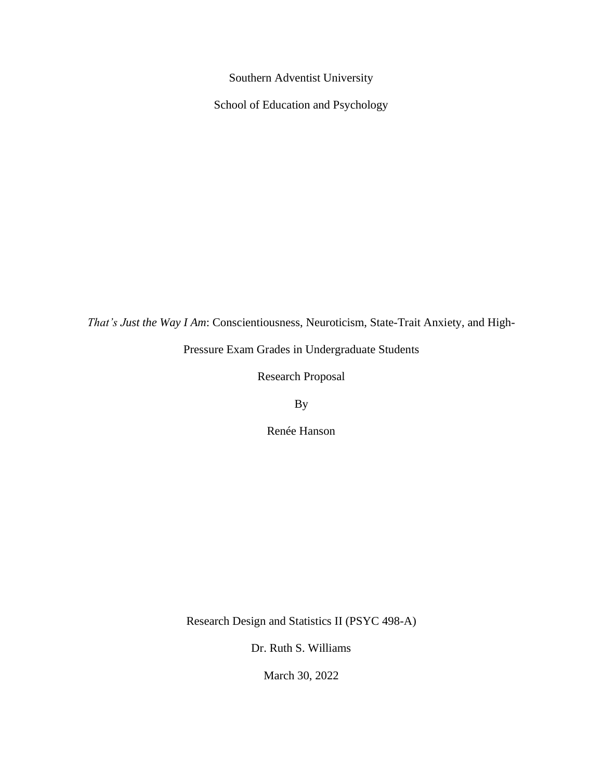Southern Adventist University

School of Education and Psychology

*That's Just the Way I Am*: Conscientiousness, Neuroticism, State-Trait Anxiety, and High-

Pressure Exam Grades in Undergraduate Students

Research Proposal

By

Renée Hanson

Research Design and Statistics II (PSYC 498-A)

Dr. Ruth S. Williams

March 30, 2022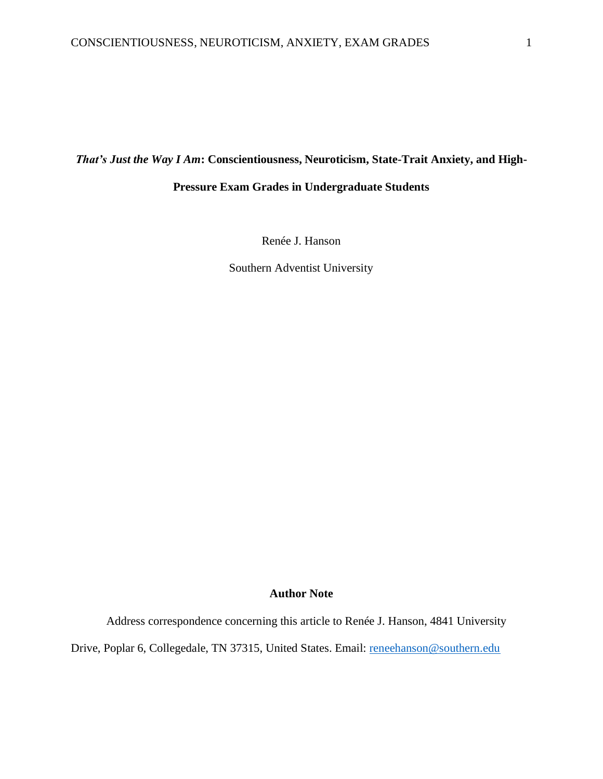### *That's Just the Way I Am***: Conscientiousness, Neuroticism, State-Trait Anxiety, and High-**

### **Pressure Exam Grades in Undergraduate Students**

Renée J. Hanson

Southern Adventist University

### **Author Note**

Address correspondence concerning this article to Renée J. Hanson, 4841 University

Drive, Poplar 6, Collegedale, TN 37315, United States. Email: [reneehanson@southern.edu](mailto:reneehanson@southern.edu)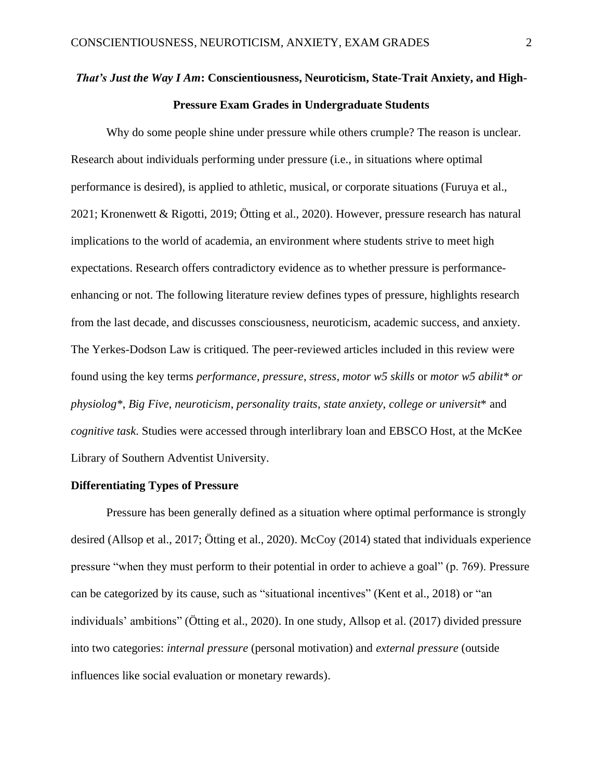# *That's Just the Way I Am***: Conscientiousness, Neuroticism, State-Trait Anxiety, and High-Pressure Exam Grades in Undergraduate Students**

Why do some people shine under pressure while others crumple? The reason is unclear. Research about individuals performing under pressure (i.e., in situations where optimal performance is desired), is applied to athletic, musical, or corporate situations (Furuya et al., 2021; Kronenwett & Rigotti, 2019; Ötting et al., 2020). However, pressure research has natural implications to the world of academia, an environment where students strive to meet high expectations. Research offers contradictory evidence as to whether pressure is performanceenhancing or not. The following literature review defines types of pressure, highlights research from the last decade, and discusses consciousness, neuroticism, academic success, and anxiety. The Yerkes-Dodson Law is critiqued. The peer-reviewed articles included in this review were found using the key terms *performance*, *pressure*, *stress*, *motor w5 skills* or *motor w5 abilit\* or physiolog\**, *Big Five*, *neuroticism*, *personality traits*, *state anxiety*, *college or universit*\* and *cognitive task*. Studies were accessed through interlibrary loan and EBSCO Host, at the McKee Library of Southern Adventist University.

### **Differentiating Types of Pressure**

Pressure has been generally defined as a situation where optimal performance is strongly desired (Allsop et al., 2017; Ötting et al., 2020). McCoy (2014) stated that individuals experience pressure "when they must perform to their potential in order to achieve a goal" (p. 769). Pressure can be categorized by its cause, such as "situational incentives" (Kent et al., 2018) or "an individuals' ambitions" (Ötting et al., 2020). In one study, Allsop et al. (2017) divided pressure into two categories: *internal pressure* (personal motivation) and *external pressure* (outside influences like social evaluation or monetary rewards).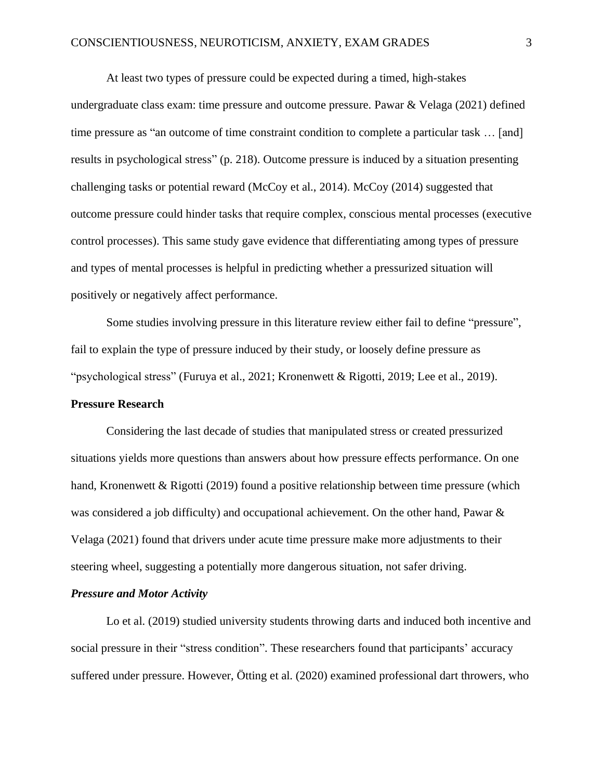At least two types of pressure could be expected during a timed, high-stakes undergraduate class exam: time pressure and outcome pressure. Pawar & Velaga (2021) defined time pressure as "an outcome of time constraint condition to complete a particular task … [and] results in psychological stress" (p. 218). Outcome pressure is induced by a situation presenting challenging tasks or potential reward (McCoy et al., 2014). McCoy (2014) suggested that outcome pressure could hinder tasks that require complex, conscious mental processes (executive control processes). This same study gave evidence that differentiating among types of pressure and types of mental processes is helpful in predicting whether a pressurized situation will positively or negatively affect performance.

Some studies involving pressure in this literature review either fail to define "pressure", fail to explain the type of pressure induced by their study, or loosely define pressure as "psychological stress" (Furuya et al., 2021; Kronenwett & Rigotti, 2019; Lee et al., 2019).

### **Pressure Research**

Considering the last decade of studies that manipulated stress or created pressurized situations yields more questions than answers about how pressure effects performance. On one hand, Kronenwett & Rigotti (2019) found a positive relationship between time pressure (which was considered a job difficulty) and occupational achievement. On the other hand, Pawar & Velaga (2021) found that drivers under acute time pressure make more adjustments to their steering wheel, suggesting a potentially more dangerous situation, not safer driving.

### *Pressure and Motor Activity*

Lo et al. (2019) studied university students throwing darts and induced both incentive and social pressure in their "stress condition". These researchers found that participants' accuracy suffered under pressure. However, Ötting et al. (2020) examined professional dart throwers, who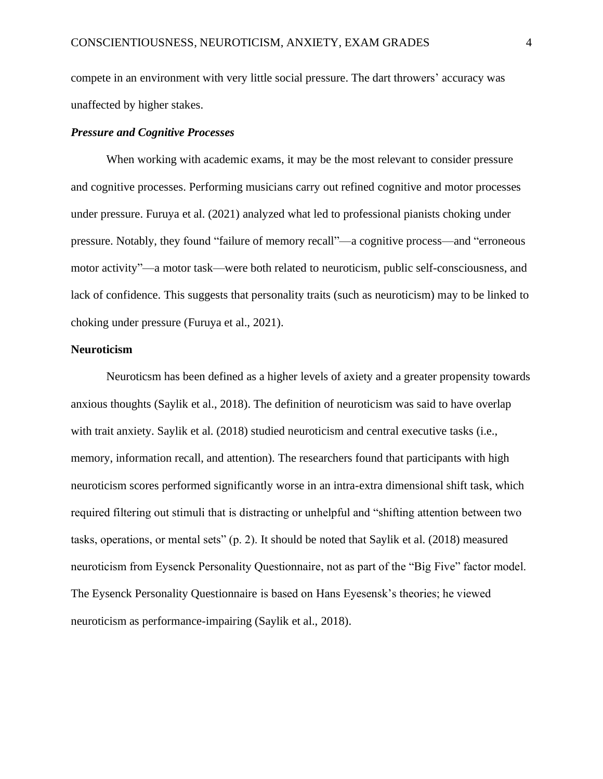compete in an environment with very little social pressure. The dart throwers' accuracy was unaffected by higher stakes.

### *Pressure and Cognitive Processes*

When working with academic exams, it may be the most relevant to consider pressure and cognitive processes. Performing musicians carry out refined cognitive and motor processes under pressure. Furuya et al. (2021) analyzed what led to professional pianists choking under pressure. Notably, they found "failure of memory recall"—a cognitive process—and "erroneous motor activity"—a motor task—were both related to neuroticism, public self-consciousness, and lack of confidence. This suggests that personality traits (such as neuroticism) may to be linked to choking under pressure (Furuya et al., 2021).

### **Neuroticism**

Neuroticsm has been defined as a higher levels of axiety and a greater propensity towards anxious thoughts (Saylik et al., 2018). The definition of neuroticism was said to have overlap with trait anxiety. Saylik et al. (2018) studied neuroticism and central executive tasks (i.e., memory, information recall, and attention). The researchers found that participants with high neuroticism scores performed significantly worse in an intra-extra dimensional shift task, which required filtering out stimuli that is distracting or unhelpful and "shifting attention between two tasks, operations, or mental sets" (p. 2). It should be noted that Saylik et al. (2018) measured neuroticism from Eysenck Personality Questionnaire, not as part of the "Big Five" factor model. The Eysenck Personality Questionnaire is based on Hans Eyesensk's theories; he viewed neuroticism as performance-impairing (Saylik et al., 2018).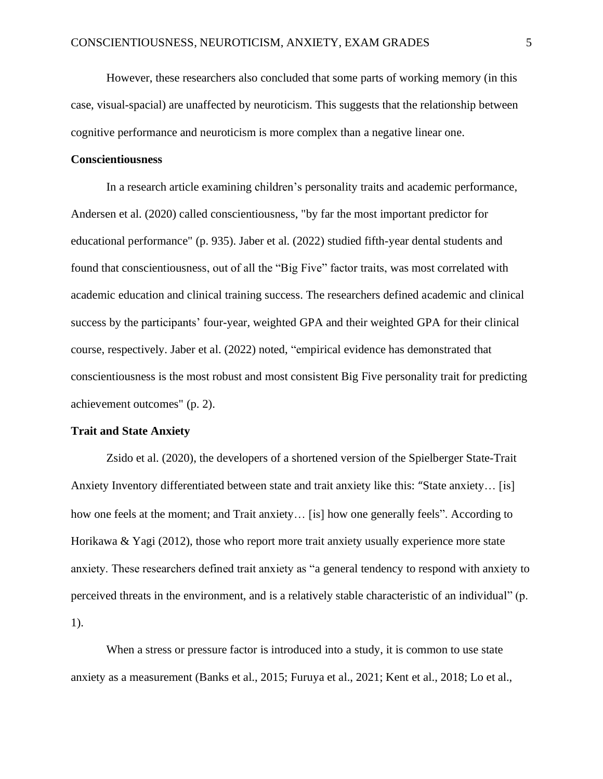However, these researchers also concluded that some parts of working memory (in this case, visual-spacial) are unaffected by neuroticism. This suggests that the relationship between cognitive performance and neuroticism is more complex than a negative linear one.

### **Conscientiousness**

In a research article examining children's personality traits and academic performance, Andersen et al. (2020) called conscientiousness, "by far the most important predictor for educational performance" (p. 935). Jaber et al. (2022) studied fifth-year dental students and found that conscientiousness, out of all the "Big Five" factor traits, was most correlated with academic education and clinical training success. The researchers defined academic and clinical success by the participants' four-year, weighted GPA and their weighted GPA for their clinical course, respectively. Jaber et al. (2022) noted, "empirical evidence has demonstrated that conscientiousness is the most robust and most consistent Big Five personality trait for predicting achievement outcomes" (p. 2).

### **Trait and State Anxiety**

Zsido et al. (2020), the developers of a shortened version of the Spielberger State-Trait Anxiety Inventory differentiated between state and trait anxiety like this: "State anxiety… [is] how one feels at the moment; and Trait anxiety… [is] how one generally feels". According to Horikawa & Yagi (2012), those who report more trait anxiety usually experience more state anxiety. These researchers defined trait anxiety as "a general tendency to respond with anxiety to perceived threats in the environment, and is a relatively stable characteristic of an individual" (p. 1).

When a stress or pressure factor is introduced into a study, it is common to use state anxiety as a measurement (Banks et al., 2015; Furuya et al., 2021; Kent et al., 2018; Lo et al.,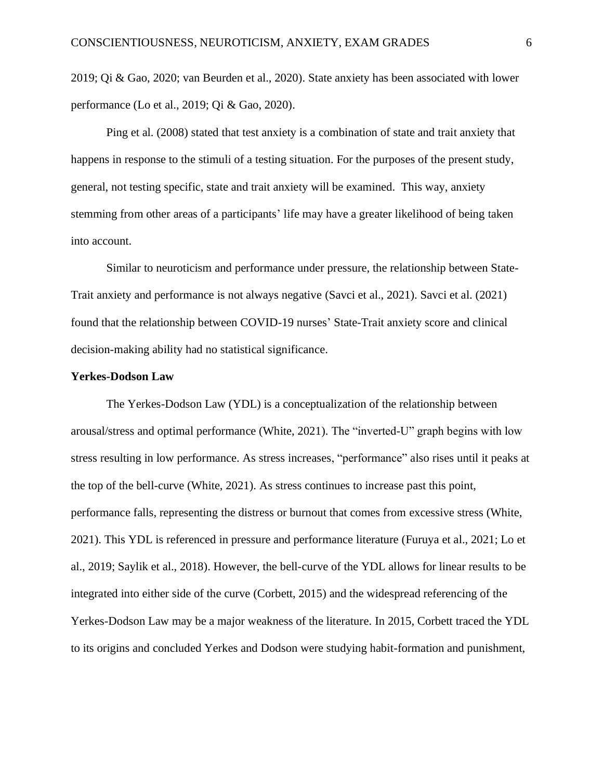2019; Qi & Gao, 2020; van Beurden et al., 2020). State anxiety has been associated with lower performance (Lo et al., 2019; Qi & Gao, 2020).

Ping et al. (2008) stated that test anxiety is a combination of state and trait anxiety that happens in response to the stimuli of a testing situation. For the purposes of the present study, general, not testing specific, state and trait anxiety will be examined. This way, anxiety stemming from other areas of a participants' life may have a greater likelihood of being taken into account.

Similar to neuroticism and performance under pressure, the relationship between State-Trait anxiety and performance is not always negative (Savci et al., 2021). Savci et al. (2021) found that the relationship between COVID-19 nurses' State-Trait anxiety score and clinical decision-making ability had no statistical significance.

### **Yerkes-Dodson Law**

The Yerkes-Dodson Law (YDL) is a conceptualization of the relationship between arousal/stress and optimal performance (White, 2021). The "inverted-U" graph begins with low stress resulting in low performance. As stress increases, "performance" also rises until it peaks at the top of the bell-curve (White, 2021). As stress continues to increase past this point, performance falls, representing the distress or burnout that comes from excessive stress (White, 2021). This YDL is referenced in pressure and performance literature (Furuya et al., 2021; Lo et al., 2019; Saylik et al., 2018). However, the bell-curve of the YDL allows for linear results to be integrated into either side of the curve (Corbett, 2015) and the widespread referencing of the Yerkes-Dodson Law may be a major weakness of the literature. In 2015, Corbett traced the YDL to its origins and concluded Yerkes and Dodson were studying habit-formation and punishment,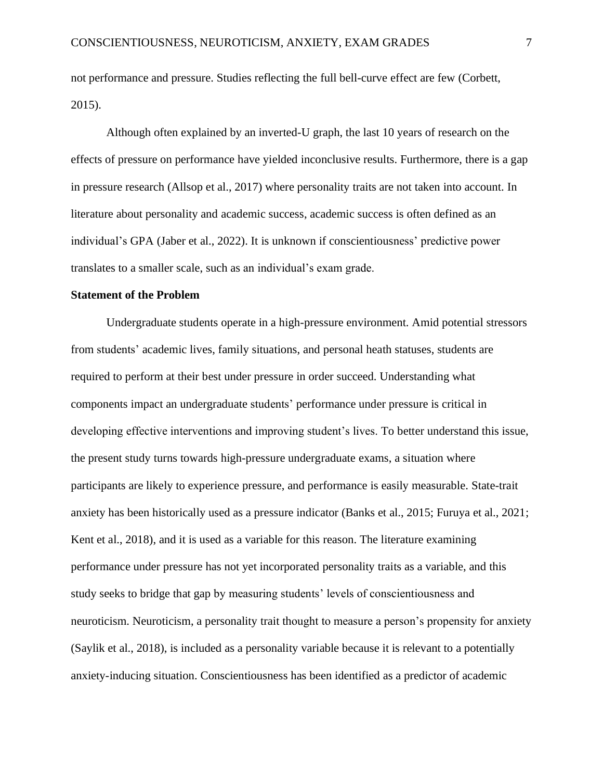not performance and pressure. Studies reflecting the full bell-curve effect are few (Corbett, 2015).

Although often explained by an inverted-U graph, the last 10 years of research on the effects of pressure on performance have yielded inconclusive results. Furthermore, there is a gap in pressure research (Allsop et al., 2017) where personality traits are not taken into account. In literature about personality and academic success, academic success is often defined as an individual's GPA (Jaber et al., 2022). It is unknown if conscientiousness' predictive power translates to a smaller scale, such as an individual's exam grade.

### **Statement of the Problem**

Undergraduate students operate in a high-pressure environment. Amid potential stressors from students' academic lives, family situations, and personal heath statuses, students are required to perform at their best under pressure in order succeed. Understanding what components impact an undergraduate students' performance under pressure is critical in developing effective interventions and improving student's lives. To better understand this issue, the present study turns towards high-pressure undergraduate exams, a situation where participants are likely to experience pressure, and performance is easily measurable. State-trait anxiety has been historically used as a pressure indicator (Banks et al., 2015; Furuya et al., 2021; Kent et al., 2018), and it is used as a variable for this reason. The literature examining performance under pressure has not yet incorporated personality traits as a variable, and this study seeks to bridge that gap by measuring students' levels of conscientiousness and neuroticism. Neuroticism, a personality trait thought to measure a person's propensity for anxiety (Saylik et al., 2018), is included as a personality variable because it is relevant to a potentially anxiety-inducing situation. Conscientiousness has been identified as a predictor of academic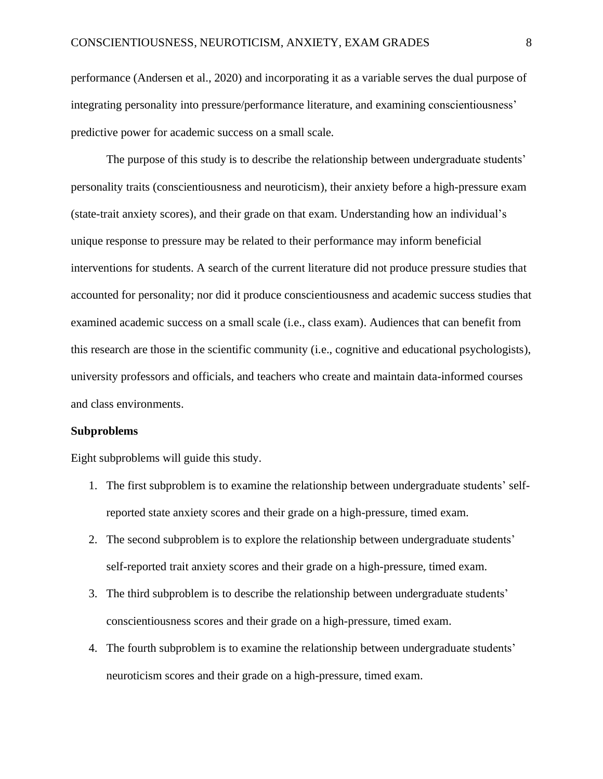performance (Andersen et al., 2020) and incorporating it as a variable serves the dual purpose of integrating personality into pressure/performance literature, and examining conscientiousness' predictive power for academic success on a small scale.

The purpose of this study is to describe the relationship between undergraduate students' personality traits (conscientiousness and neuroticism), their anxiety before a high-pressure exam (state-trait anxiety scores), and their grade on that exam. Understanding how an individual's unique response to pressure may be related to their performance may inform beneficial interventions for students. A search of the current literature did not produce pressure studies that accounted for personality; nor did it produce conscientiousness and academic success studies that examined academic success on a small scale (i.e., class exam). Audiences that can benefit from this research are those in the scientific community (i.e., cognitive and educational psychologists), university professors and officials, and teachers who create and maintain data-informed courses and class environments.

#### **Subproblems**

Eight subproblems will guide this study.

- 1. The first subproblem is to examine the relationship between undergraduate students' selfreported state anxiety scores and their grade on a high-pressure, timed exam.
- 2. The second subproblem is to explore the relationship between undergraduate students' self-reported trait anxiety scores and their grade on a high-pressure, timed exam.
- 3. The third subproblem is to describe the relationship between undergraduate students' conscientiousness scores and their grade on a high-pressure, timed exam.
- 4. The fourth subproblem is to examine the relationship between undergraduate students' neuroticism scores and their grade on a high-pressure, timed exam.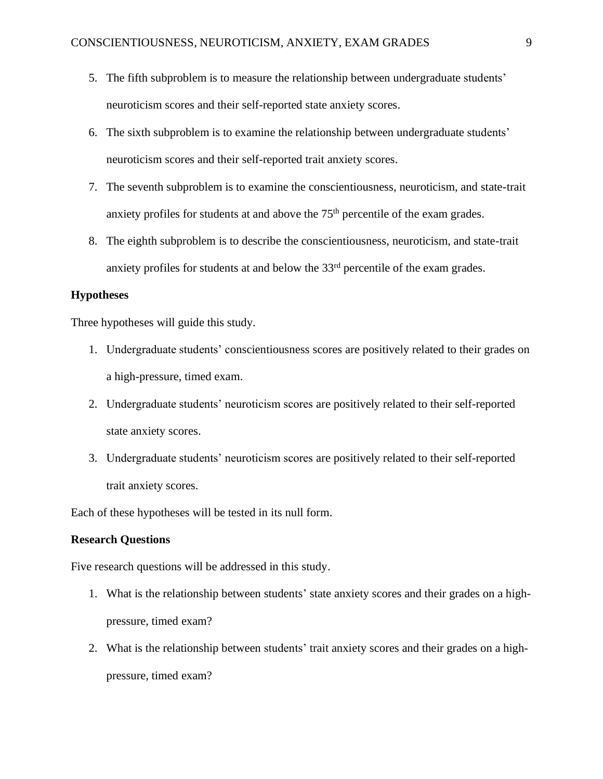- 5. The fifth subproblem is to measure the relationship between undergraduate students' neuroticism scores and their self-reported state anxiety scores.
- 6. The sixth subproblem is to examine the relationship between undergraduate students' neuroticism scores and their self-reported trait anxiety scores.
- 7. The seventh subproblem is to examine the conscientiousness, neuroticism, and state-trait anxiety profiles for students at and above the  $75<sup>th</sup>$  percentile of the exam grades.
- 8. The eighth subproblem is to describe the conscientiousness, neuroticism, and state-trait anxiety profiles for students at and below the  $33<sup>rd</sup>$  percentile of the exam grades.

### **Hypotheses**

Three hypotheses will guide this study.

- 1. Undergraduate students' conscientiousness scores are positively related to their grades on a high-pressure, timed exam.
- 2. Undergraduate students' neuroticism scores are positively related to their self-reported state anxiety scores.
- 3. Undergraduate students' neuroticism scores are positively related to their self-reported trait anxiety scores.

Each of these hypotheses will be tested in its null form.

### **Research Questions**

Five research questions will be addressed in this study.

- 1. What is the relationship between students' state anxiety scores and their grades on a highpressure, timed exam?
- 2. What is the relationship between students' trait anxiety scores and their grades on a highpressure, timed exam?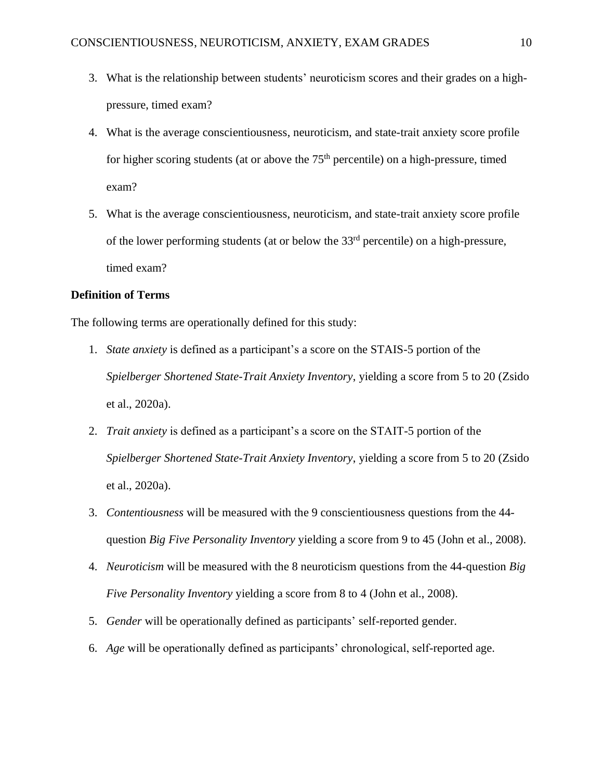- 3. What is the relationship between students' neuroticism scores and their grades on a highpressure, timed exam?
- 4. What is the average conscientiousness, neuroticism, and state-trait anxiety score profile for higher scoring students (at or above the 75<sup>th</sup> percentile) on a high-pressure, timed exam?
- 5. What is the average conscientiousness, neuroticism, and state-trait anxiety score profile of the lower performing students (at or below the 33rd percentile) on a high-pressure, timed exam?

### **Definition of Terms**

The following terms are operationally defined for this study:

- 1. *State anxiety* is defined as a participant's a score on the STAIS-5 portion of the *Spielberger Shortened State-Trait Anxiety Inventory*, yielding a score from 5 to 20 (Zsido et al., 2020a).
- 2. *Trait anxiety* is defined as a participant's a score on the STAIT-5 portion of the *Spielberger Shortened State-Trait Anxiety Inventory*, yielding a score from 5 to 20 (Zsido et al., 2020a).
- 3. *Contentiousness* will be measured with the 9 conscientiousness questions from the 44 question *Big Five Personality Inventory* yielding a score from 9 to 45 (John et al., 2008).
- 4. *Neuroticism* will be measured with the 8 neuroticism questions from the 44-question *Big Five Personality Inventory* yielding a score from 8 to 4 (John et al., 2008).
- 5. *Gender* will be operationally defined as participants' self-reported gender.
- 6. *Age* will be operationally defined as participants' chronological, self-reported age.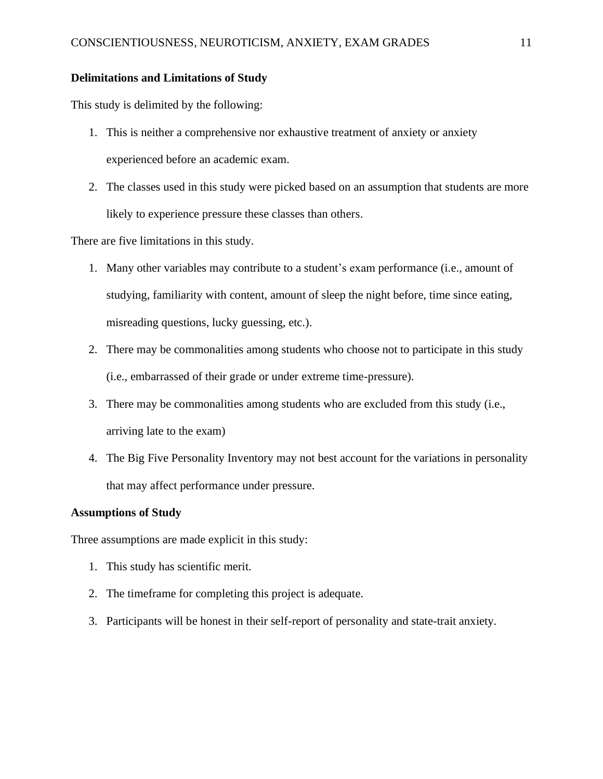### **Delimitations and Limitations of Study**

This study is delimited by the following:

- 1. This is neither a comprehensive nor exhaustive treatment of anxiety or anxiety experienced before an academic exam.
- 2. The classes used in this study were picked based on an assumption that students are more likely to experience pressure these classes than others.

There are five limitations in this study.

- 1. Many other variables may contribute to a student's exam performance (i.e., amount of studying, familiarity with content, amount of sleep the night before, time since eating, misreading questions, lucky guessing, etc.).
- 2. There may be commonalities among students who choose not to participate in this study (i.e., embarrassed of their grade or under extreme time-pressure).
- 3. There may be commonalities among students who are excluded from this study (i.e., arriving late to the exam)
- 4. The Big Five Personality Inventory may not best account for the variations in personality that may affect performance under pressure.

### **Assumptions of Study**

Three assumptions are made explicit in this study:

- 1. This study has scientific merit.
- 2. The timeframe for completing this project is adequate.
- 3. Participants will be honest in their self-report of personality and state-trait anxiety.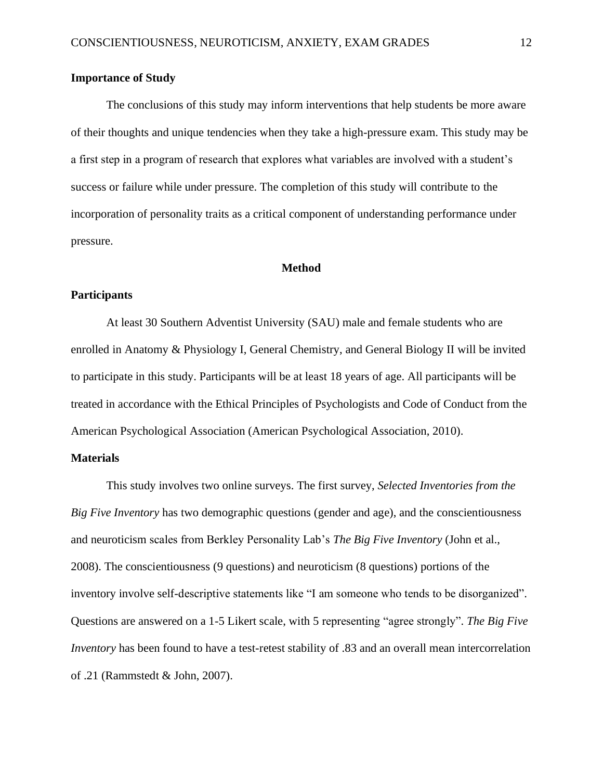### **Importance of Study**

The conclusions of this study may inform interventions that help students be more aware of their thoughts and unique tendencies when they take a high-pressure exam. This study may be a first step in a program of research that explores what variables are involved with a student's success or failure while under pressure. The completion of this study will contribute to the incorporation of personality traits as a critical component of understanding performance under pressure.

### **Method**

### **Participants**

At least 30 Southern Adventist University (SAU) male and female students who are enrolled in Anatomy & Physiology I, General Chemistry, and General Biology II will be invited to participate in this study. Participants will be at least 18 years of age. All participants will be treated in accordance with the Ethical Principles of Psychologists and Code of Conduct from the American Psychological Association (American Psychological Association, 2010).

### **Materials**

This study involves two online surveys. The first survey, *Selected Inventories from the Big Five Inventory* has two demographic questions (gender and age), and the conscientiousness and neuroticism scales from Berkley Personality Lab's *The Big Five Inventory* (John et al., 2008). The conscientiousness (9 questions) and neuroticism (8 questions) portions of the inventory involve self-descriptive statements like "I am someone who tends to be disorganized". Questions are answered on a 1-5 Likert scale, with 5 representing "agree strongly". *The Big Five Inventory* has been found to have a test-retest stability of .83 and an overall mean intercorrelation of .21 (Rammstedt & John, 2007).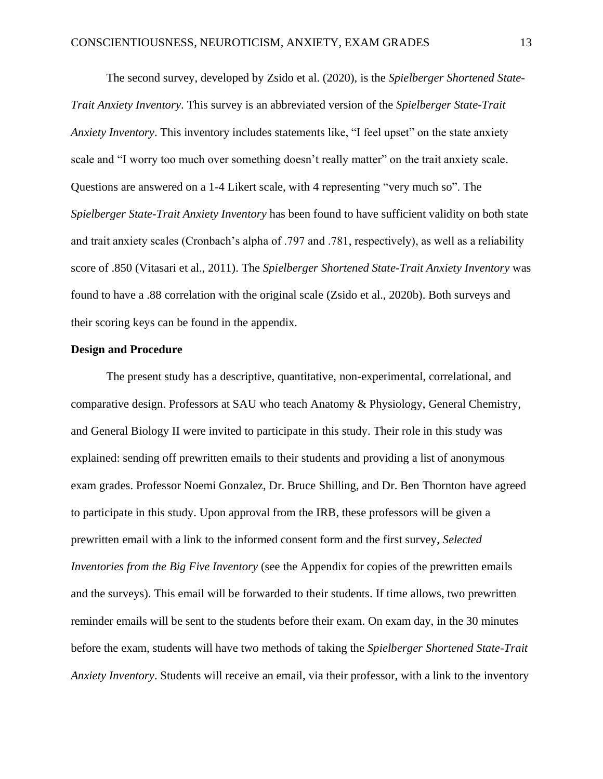The second survey, developed by Zsido et al. (2020)*,* is the *Spielberger Shortened State-Trait Anxiety Inventory*. This survey is an abbreviated version of the *Spielberger State-Trait Anxiety Inventory*. This inventory includes statements like, "I feel upset" on the state anxiety scale and "I worry too much over something doesn't really matter" on the trait anxiety scale. Questions are answered on a 1-4 Likert scale, with 4 representing "very much so". The *Spielberger State-Trait Anxiety Inventory* has been found to have sufficient validity on both state and trait anxiety scales (Cronbach's alpha of .797 and .781, respectively), as well as a reliability score of .850 (Vitasari et al., 2011). The *Spielberger Shortened State-Trait Anxiety Inventory* was found to have a .88 correlation with the original scale (Zsido et al., 2020b). Both surveys and their scoring keys can be found in the appendix.

### **Design and Procedure**

The present study has a descriptive, quantitative, non-experimental, correlational, and comparative design. Professors at SAU who teach Anatomy & Physiology, General Chemistry, and General Biology II were invited to participate in this study. Their role in this study was explained: sending off prewritten emails to their students and providing a list of anonymous exam grades. Professor Noemi Gonzalez, Dr. Bruce Shilling, and Dr. Ben Thornton have agreed to participate in this study. Upon approval from the IRB, these professors will be given a prewritten email with a link to the informed consent form and the first survey, *Selected Inventories from the Big Five Inventory* (see the Appendix for copies of the prewritten emails and the surveys). This email will be forwarded to their students. If time allows, two prewritten reminder emails will be sent to the students before their exam. On exam day, in the 30 minutes before the exam, students will have two methods of taking the *Spielberger Shortened State-Trait Anxiety Inventory*. Students will receive an email, via their professor, with a link to the inventory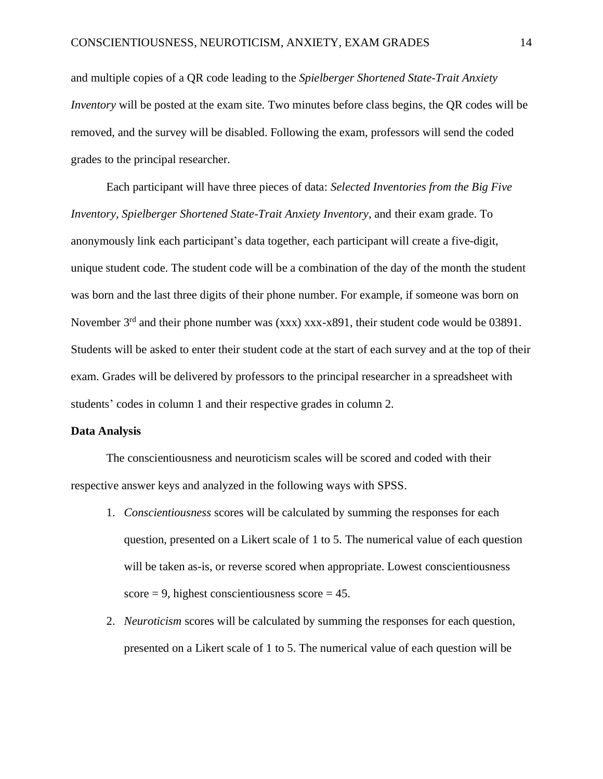and multiple copies of a QR code leading to the *Spielberger Shortened State-Trait Anxiety Inventory* will be posted at the exam site. Two minutes before class begins, the QR codes will be removed, and the survey will be disabled. Following the exam, professors will send the coded grades to the principal researcher.

Each participant will have three pieces of data: *Selected Inventories from the Big Five Inventory, Spielberger Shortened State-Trait Anxiety Inventory*, and their exam grade. To anonymously link each participant's data together, each participant will create a five-digit, unique student code. The student code will be a combination of the day of the month the student was born and the last three digits of their phone number. For example, if someone was born on November 3<sup>rd</sup> and their phone number was (xxx) xxx-x891, their student code would be 03891. Students will be asked to enter their student code at the start of each survey and at the top of their exam. Grades will be delivered by professors to the principal researcher in a spreadsheet with students' codes in column 1 and their respective grades in column 2.

#### **Data Analysis**

The conscientiousness and neuroticism scales will be scored and coded with their respective answer keys and analyzed in the following ways with SPSS.

- 1. *Conscientiousness* scores will be calculated by summing the responses for each question, presented on a Likert scale of 1 to 5. The numerical value of each question will be taken as-is, or reverse scored when appropriate. Lowest conscientiousness  $score = 9$ , highest conscientiousness  $score = 45$ .
- 2. *Neuroticism* scores will be calculated by summing the responses for each question, presented on a Likert scale of 1 to 5. The numerical value of each question will be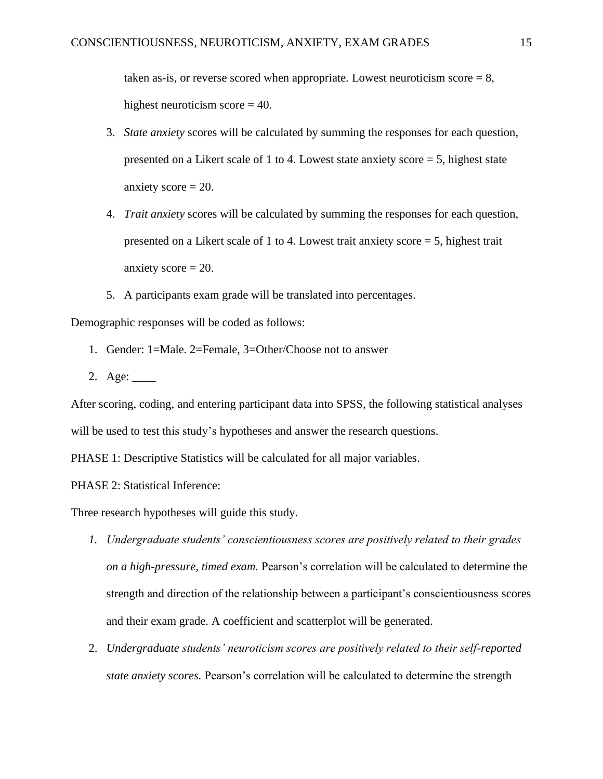taken as-is, or reverse scored when appropriate. Lowest neuroticism score  $= 8$ , highest neuroticism score = 40.

- 3. *State anxiety* scores will be calculated by summing the responses for each question, presented on a Likert scale of 1 to 4. Lowest state anxiety score = 5, highest state anxiety  $score = 20$ .
- 4. *Trait anxiety* scores will be calculated by summing the responses for each question, presented on a Likert scale of 1 to 4. Lowest trait anxiety score  $=$  5, highest trait anxiety  $score = 20$ .
- 5. A participants exam grade will be translated into percentages.

Demographic responses will be coded as follows:

- 1. Gender: 1=Male. 2=Female, 3=Other/Choose not to answer
- 2. Age: \_\_\_\_

After scoring, coding, and entering participant data into SPSS, the following statistical analyses will be used to test this study's hypotheses and answer the research questions.

PHASE 1: Descriptive Statistics will be calculated for all major variables.

PHASE 2: Statistical Inference:

Three research hypotheses will guide this study.

- *1. Undergraduate students' conscientiousness scores are positively related to their grades on a high-pressure, timed exam.* Pearson's correlation will be calculated to determine the strength and direction of the relationship between a participant's conscientiousness scores and their exam grade. A coefficient and scatterplot will be generated.
- 2. *Undergraduate students' neuroticism scores are positively related to their self-reported state anxiety scores.* Pearson's correlation will be calculated to determine the strength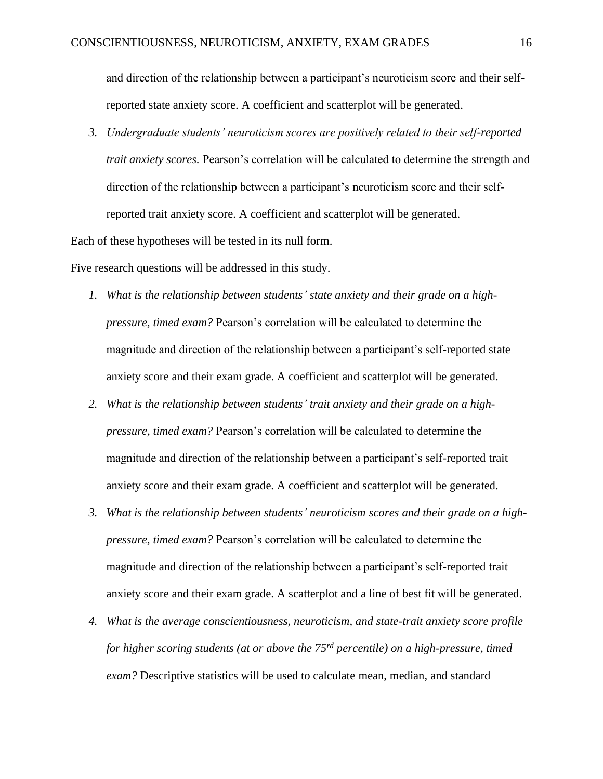and direction of the relationship between a participant's neuroticism score and their selfreported state anxiety score. A coefficient and scatterplot will be generated.

*3. Undergraduate students' neuroticism scores are positively related to their self-reported trait anxiety scores.* Pearson's correlation will be calculated to determine the strength and direction of the relationship between a participant's neuroticism score and their selfreported trait anxiety score. A coefficient and scatterplot will be generated.

Each of these hypotheses will be tested in its null form.

Five research questions will be addressed in this study.

- *1. What is the relationship between students' state anxiety and their grade on a highpressure, timed exam?* Pearson's correlation will be calculated to determine the magnitude and direction of the relationship between a participant's self-reported state anxiety score and their exam grade. A coefficient and scatterplot will be generated.
- *2. What is the relationship between students' trait anxiety and their grade on a highpressure, timed exam?* Pearson's correlation will be calculated to determine the magnitude and direction of the relationship between a participant's self-reported trait anxiety score and their exam grade. A coefficient and scatterplot will be generated.
- *3. What is the relationship between students' neuroticism scores and their grade on a highpressure, timed exam?* Pearson's correlation will be calculated to determine the magnitude and direction of the relationship between a participant's self-reported trait anxiety score and their exam grade. A scatterplot and a line of best fit will be generated.
- *4. What is the average conscientiousness, neuroticism, and state-trait anxiety score profile for higher scoring students (at or above the 75rd percentile) on a high-pressure, timed exam?* Descriptive statistics will be used to calculate mean, median, and standard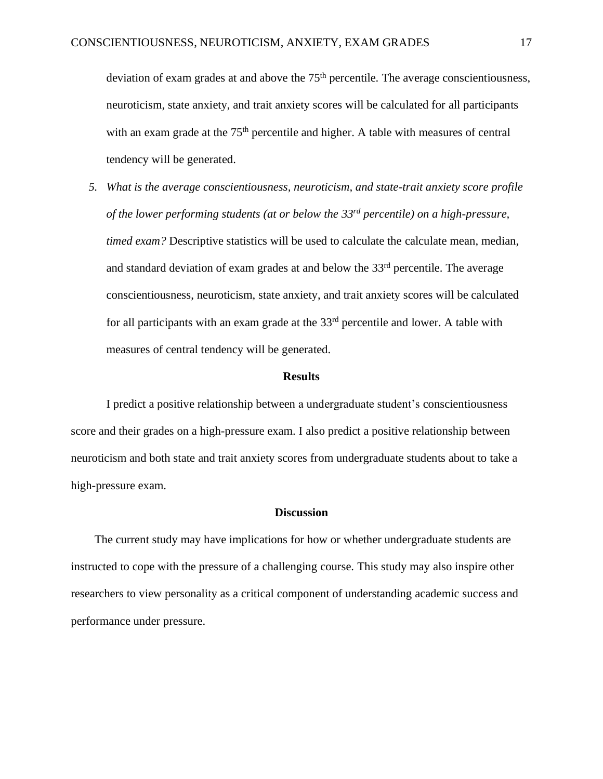deviation of exam grades at and above the 75<sup>th</sup> percentile. The average conscientiousness, neuroticism, state anxiety, and trait anxiety scores will be calculated for all participants with an exam grade at the 75<sup>th</sup> percentile and higher. A table with measures of central tendency will be generated.

*5. What is the average conscientiousness, neuroticism, and state-trait anxiety score profile of the lower performing students (at or below the 33 rd percentile) on a high-pressure, timed exam?* Descriptive statistics will be used to calculate the calculate mean, median, and standard deviation of exam grades at and below the 33<sup>rd</sup> percentile. The average conscientiousness, neuroticism, state anxiety, and trait anxiety scores will be calculated for all participants with an exam grade at the  $33<sup>rd</sup>$  percentile and lower. A table with measures of central tendency will be generated.

### **Results**

I predict a positive relationship between a undergraduate student's conscientiousness score and their grades on a high-pressure exam. I also predict a positive relationship between neuroticism and both state and trait anxiety scores from undergraduate students about to take a high-pressure exam.

### **Discussion**

The current study may have implications for how or whether undergraduate students are instructed to cope with the pressure of a challenging course. This study may also inspire other researchers to view personality as a critical component of understanding academic success and performance under pressure.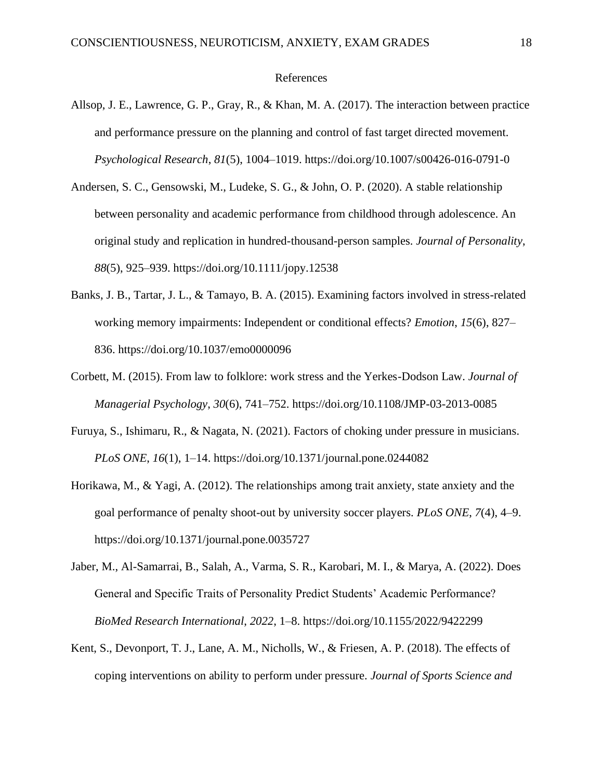### References

- Allsop, J. E., Lawrence, G. P., Gray, R., & Khan, M. A. (2017). The interaction between practice and performance pressure on the planning and control of fast target directed movement. *Psychological Research*, *81*(5), 1004–1019. https://doi.org/10.1007/s00426-016-0791-0
- Andersen, S. C., Gensowski, M., Ludeke, S. G., & John, O. P. (2020). A stable relationship between personality and academic performance from childhood through adolescence. An original study and replication in hundred-thousand-person samples. *Journal of Personality*, *88*(5), 925–939. https://doi.org/10.1111/jopy.12538
- Banks, J. B., Tartar, J. L., & Tamayo, B. A. (2015). Examining factors involved in stress-related working memory impairments: Independent or conditional effects? *Emotion*, *15*(6), 827– 836. https://doi.org/10.1037/emo0000096
- Corbett, M. (2015). From law to folklore: work stress and the Yerkes-Dodson Law. *Journal of Managerial Psychology*, *30*(6), 741–752. https://doi.org/10.1108/JMP-03-2013-0085
- Furuya, S., Ishimaru, R., & Nagata, N. (2021). Factors of choking under pressure in musicians. *PLoS ONE*, *16*(1), 1–14. https://doi.org/10.1371/journal.pone.0244082
- Horikawa, M., & Yagi, A. (2012). The relationships among trait anxiety, state anxiety and the goal performance of penalty shoot-out by university soccer players. *PLoS ONE*, *7*(4), 4–9. https://doi.org/10.1371/journal.pone.0035727
- Jaber, M., Al-Samarrai, B., Salah, A., Varma, S. R., Karobari, M. I., & Marya, A. (2022). Does General and Specific Traits of Personality Predict Students' Academic Performance? *BioMed Research International*, *2022*, 1–8. https://doi.org/10.1155/2022/9422299
- Kent, S., Devonport, T. J., Lane, A. M., Nicholls, W., & Friesen, A. P. (2018). The effects of coping interventions on ability to perform under pressure. *Journal of Sports Science and*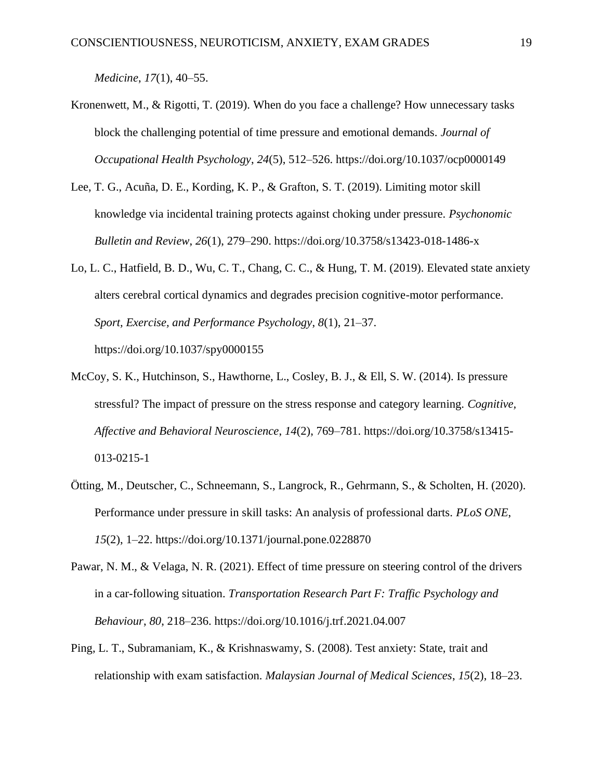*Medicine*, *17*(1), 40–55.

- Kronenwett, M., & Rigotti, T. (2019). When do you face a challenge? How unnecessary tasks block the challenging potential of time pressure and emotional demands. *Journal of Occupational Health Psychology*, *24*(5), 512–526. https://doi.org/10.1037/ocp0000149
- Lee, T. G., Acuña, D. E., Kording, K. P., & Grafton, S. T. (2019). Limiting motor skill knowledge via incidental training protects against choking under pressure. *Psychonomic Bulletin and Review*, *26*(1), 279–290. https://doi.org/10.3758/s13423-018-1486-x
- Lo, L. C., Hatfield, B. D., Wu, C. T., Chang, C. C., & Hung, T. M. (2019). Elevated state anxiety alters cerebral cortical dynamics and degrades precision cognitive-motor performance. *Sport, Exercise, and Performance Psychology*, *8*(1), 21–37. https://doi.org/10.1037/spy0000155
- McCoy, S. K., Hutchinson, S., Hawthorne, L., Cosley, B. J., & Ell, S. W. (2014). Is pressure stressful? The impact of pressure on the stress response and category learning. *Cognitive, Affective and Behavioral Neuroscience*, *14*(2), 769–781. https://doi.org/10.3758/s13415- 013-0215-1
- Ötting, M., Deutscher, C., Schneemann, S., Langrock, R., Gehrmann, S., & Scholten, H. (2020). Performance under pressure in skill tasks: An analysis of professional darts. *PLoS ONE*, *15*(2), 1–22. https://doi.org/10.1371/journal.pone.0228870
- Pawar, N. M., & Velaga, N. R. (2021). Effect of time pressure on steering control of the drivers in a car-following situation. *Transportation Research Part F: Traffic Psychology and Behaviour*, *80*, 218–236. https://doi.org/10.1016/j.trf.2021.04.007
- Ping, L. T., Subramaniam, K., & Krishnaswamy, S. (2008). Test anxiety: State, trait and relationship with exam satisfaction. *Malaysian Journal of Medical Sciences*, *15*(2), 18–23.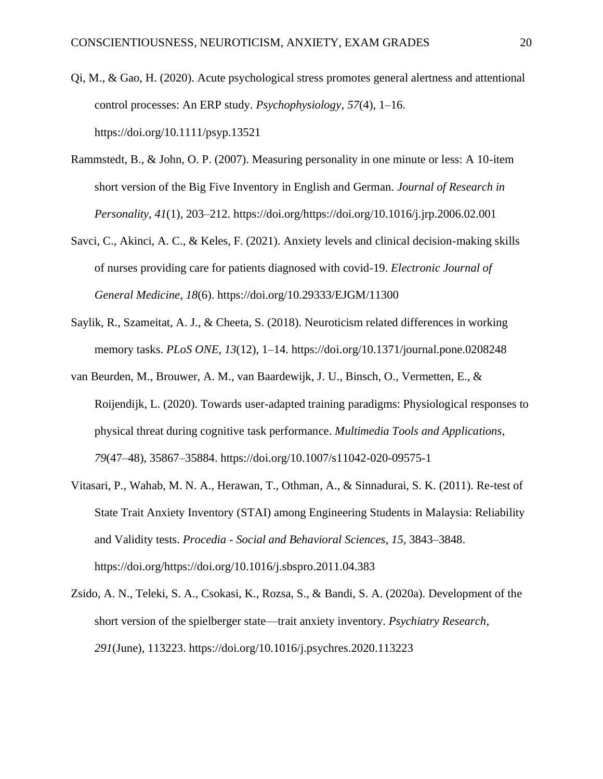- Qi, M., & Gao, H. (2020). Acute psychological stress promotes general alertness and attentional control processes: An ERP study. *Psychophysiology*, *57*(4), 1–16. https://doi.org/10.1111/psyp.13521
- Rammstedt, B., & John, O. P. (2007). Measuring personality in one minute or less: A 10-item short version of the Big Five Inventory in English and German. *Journal of Research in Personality*, *41*(1), 203–212. https://doi.org/https://doi.org/10.1016/j.jrp.2006.02.001
- Savci, C., Akinci, A. C., & Keles, F. (2021). Anxiety levels and clinical decision-making skills of nurses providing care for patients diagnosed with covid-19. *Electronic Journal of General Medicine*, *18*(6). https://doi.org/10.29333/EJGM/11300
- Saylik, R., Szameitat, A. J., & Cheeta, S. (2018). Neuroticism related differences in working memory tasks. *PLoS ONE*, *13*(12), 1–14. https://doi.org/10.1371/journal.pone.0208248
- van Beurden, M., Brouwer, A. M., van Baardewijk, J. U., Binsch, O., Vermetten, E., & Roijendijk, L. (2020). Towards user-adapted training paradigms: Physiological responses to physical threat during cognitive task performance. *Multimedia Tools and Applications*, *79*(47–48), 35867–35884. https://doi.org/10.1007/s11042-020-09575-1
- Vitasari, P., Wahab, M. N. A., Herawan, T., Othman, A., & Sinnadurai, S. K. (2011). Re-test of State Trait Anxiety Inventory (STAI) among Engineering Students in Malaysia: Reliability and Validity tests. *Procedia - Social and Behavioral Sciences*, *15*, 3843–3848. https://doi.org/https://doi.org/10.1016/j.sbspro.2011.04.383
- Zsido, A. N., Teleki, S. A., Csokasi, K., Rozsa, S., & Bandi, S. A. (2020a). Development of the short version of the spielberger state—trait anxiety inventory. *Psychiatry Research*, *291*(June), 113223. https://doi.org/10.1016/j.psychres.2020.113223